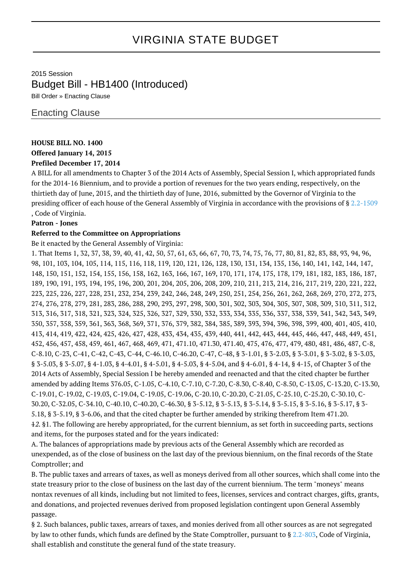# VIRGINIA STATE BUDGET

2015 Session Budget Bill - HB1400 (Introduced) Bill Order » Enacting Clause

## Enacting Clause

## **HOUSE BILL NO. 1400**

**Offered January 14, 2015**

## **Prefiled December 17, 2014**

A BILL for all amendments to Chapter 3 of the 2014 Acts of Assembly, Special Session I, which appropriated funds for the 2014-16 Biennium, and to provide a portion of revenues for the two years ending, respectively, on the thirtieth day of June, 2015, and the thirtieth day of June, 2016, submitted by the Governor of Virginia to the presiding officer of each house of the General Assembly of Virginia in accordance with the provisions of § [2.2-1509](http://law.lis.virginia.gov/vacode/2.2-1509/) , Code of Virginia.

## **Patron - Jones**

## **Referred to the Committee on Appropriations**

Be it enacted by the General Assembly of Virginia:

1. That Items 1, 32, 37, 38, 39, 40, 41, 42, 50, 57, 61, 63, 66, 67, 70, 73, 74, 75, 76, 77, 80, 81, 82, 83, 88, 93, 94, 96, 98, 101, 103, 104, 105, 114, 115, 116, 118, 119, 120, 121, 126, 128, 130, 131, 134, 135, 136, 140, 141, 142, 144, 147, 148, 150, 151, 152, 154, 155, 156, 158, 162, 163, 166, 167, 169, 170, 171, 174, 175, 178, 179, 181, 182, 183, 186, 187, 189, 190, 191, 193, 194, 195, 196, 200, 201, 204, 205, 206, 208, 209, 210, 211, 213, 214, 216, 217, 219, 220, 221, 222, 223, 225, 226, 227, 228, 231, 232, 234, 239, 242, 246, 248, 249, 250, 251, 254, 256, 261, 262, 268, 269, 270, 272, 273, 274, 276, 278, 279, 281, 283, 286, 288, 290, 293, 297, 298, 300, 301, 302, 303, 304, 305, 307, 308, 309, 310, 311, 312, 313, 316, 317, 318, 321, 323, 324, 325, 326, 327, 329, 330, 332, 333, 334, 335, 336, 337, 338, 339, 341, 342, 343, 349, 350, 357, 358, 359, 361, 363, 368, 369, 371, 376, 379, 382, 384, 385, 389, 393, 394, 396, 398, 399, 400, 401, 405, 410, 413, 414, 419, 422, 424, 425, 426, 427, 428, 433, 434, 435, 439, 440, 441, 442, 443, 444, 445, 446, 447, 448, 449, 451, 452, 456, 457, 458, 459, 461, 467, 468, 469, 471, 471.10, 471.30, 471.40, 475, 476, 477, 479, 480, 481, 486, 487, C-8, C-8.10, C-23, C-41, C-42, C-43, C-44, C-46.10, C-46.20, C-47, C-48, § 3-1.01, § 3-2.03, § 3-3.01, § 3-3.02, § 3-3.03, § 3-5.03, § 3-5.07, § 4-1.03, § 4-4.01, § 4-5.01, § 4-5.03, § 4-5.04, and § 4-6.01, § 4-14, § 4-15, of Chapter 3 of the 2014 Acts of Assembly, Special Session I be hereby amended and reenacted and that the cited chapter be further amended by adding Items 376.05, C-1.05, C-4.10, C-7.10, C-7.20, C-8.30, C-8.40, C-8.50, C-13.05, C-13.20, C-13.30, C-19.01, C-19.02, C-19.03, C-19.04, C-19.05, C-19.06, C-20.10, C-20.20, C-21.05, C-25.10, C-25.20, C-30.10, C-30.20, C-32.05, C-34.10, C-40.10, C-40.20, C-46.30, § 3-5.12, § 3-5.13, § 3-5.14, § 3-5.15, § 3-5.16, § 3-5.17, § 3- 5.18, § 3-5.19, § 3-6.06, and that the cited chapter be further amended by striking therefrom Item 471.20. 12. §1. The following are hereby appropriated, for the current biennium, as set forth in succeeding parts, sections and items, for the purposes stated and for the years indicated:

A. The balances of appropriations made by previous acts of the General Assembly which are recorded as unexpended, as of the close of business on the last day of the previous biennium, on the final records of the State Comptroller; and

B. The public taxes and arrears of taxes, as well as moneys derived from all other sources, which shall come into the state treasury prior to the close of business on the last day of the current biennium. The term "moneys" means nontax revenues of all kinds, including but not limited to fees, licenses, services and contract charges, gifts, grants, and donations, and projected revenues derived from proposed legislation contingent upon General Assembly passage.

§ 2. Such balances, public taxes, arrears of taxes, and monies derived from all other sources as are not segregated by law to other funds, which funds are defined by the State Comptroller, pursuant to § [2.2-803,](http://law.lis.virginia.gov/vacode/2.2-803/) Code of Virginia, shall establish and constitute the general fund of the state treasury.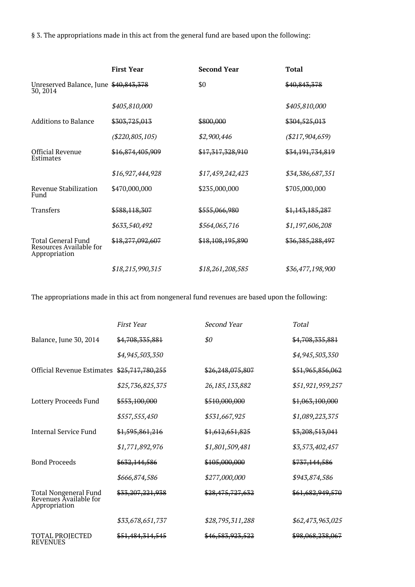§ 3. The appropriations made in this act from the general fund are based upon the following:

|                                                                       | <b>First Year</b>   | <b>Second Year</b> | <b>Total</b>      |
|-----------------------------------------------------------------------|---------------------|--------------------|-------------------|
| Unreserved Balance, June \$40,843,378<br>30, 2014                     |                     | \$0                | \$40,843,378      |
|                                                                       | \$405,810,000       |                    | \$405,810,000     |
| <b>Additions to Balance</b>                                           | \$303,725,013       | \$800,000          | \$304,525,013     |
|                                                                       | $(\$220, 805, 105)$ | \$2,900,446        | $(\$217,904,659)$ |
| <b>Official Revenue</b><br>Estimates                                  | \$16,874,405,909    | \$17,317,328,910   | \$34,191,734,819  |
|                                                                       | \$16,927,444,928    | \$17,459,242,423   | \$34,386,687,351  |
| Revenue Stabilization<br>Fund                                         | \$470,000,000       | \$235,000,000      | \$705,000,000     |
| <b>Transfers</b>                                                      | \$588,118,307       | \$555,066,980      | \$1,143,185,287   |
|                                                                       | \$633,540,492       | \$564,065,716      | \$1,197,606,208   |
| <b>Total General Fund</b><br>Resources Available for<br>Appropriation | \$18,277,092,607    | \$18,108,195,890   | \$36,385,288,497  |
|                                                                       | \$18,215,990,315    | \$18,261,208,585   | \$36,477,198,900  |

The appropriations made in this act from nongeneral fund revenues are based upon the following:

|                                                                         | <b>First Year</b> | Second Year       | <b>Total</b>     |
|-------------------------------------------------------------------------|-------------------|-------------------|------------------|
| Balance, June 30, 2014                                                  | \$4,708,335,881   | \$0               | \$4,708,335,881  |
|                                                                         | \$4,945,503,350   |                   | \$4,945,503,350  |
| Official Revenue Estimates                                              | \$25,717,780,255  | \$26,248,075,807  | \$51,965,856,062 |
|                                                                         | \$25,736,825,375  | 26, 185, 133, 882 | \$51,921,959,257 |
| Lottery Proceeds Fund                                                   | \$553,100,000     | \$510,000,000     | \$1,063,100,000  |
|                                                                         | \$557,555,450     | \$531,667,925     | \$1,089,223,375  |
| Internal Service Fund                                                   | \$1,595,861,216   | \$1,612,651,825   | \$3,208,513,041  |
|                                                                         | \$1,771,892,976   | \$1,801,509,481   | \$3,573,402,457  |
| <b>Bond Proceeds</b>                                                    | \$632,144,586     | \$105,000,000     | \$737,144,586    |
|                                                                         | \$666,874,586     | \$277,000,000     | \$943,874,586    |
| <b>Total Nongeneral Fund</b><br>Revenues Available for<br>Appropriation | \$33,207,221,938  | \$28,475,727,632  | \$61,682,949,570 |
|                                                                         | \$33,678,651,737  | \$28,795,311,288  | \$62,473,963,025 |
| <b>TOTAL PROJECTED</b><br><b>REVENUES</b>                               | \$51,484,314,545  | \$46,583,923,522  | \$98,068,238,067 |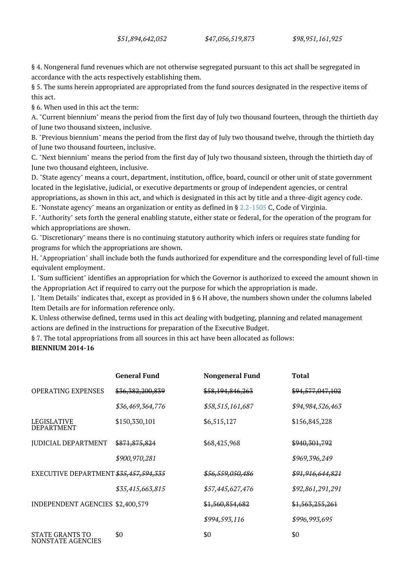§ 4. Nongeneral fund revenues which are not otherwise segregated pursuant to this act shall be segregated in accordance with the acts respectively establishing them.

§ 5. The sums herein appropriated are appropriated from the fund sources designated in the respective items of this act.

§ 6. When used in this act the term:

A. "Current biennium" means the period from the first day of July two thousand fourteen, through the thirtieth day of June two thousand sixteen, inclusive.

B. "Previous biennium" means the period from the first day of July two thousand twelve, through the thirtieth day of June two thousand fourteen, inclusive.

C. "Next biennium" means the period from the first day of July two thousand sixteen, through the thirtieth day of June two thousand eighteen, inclusive.

D. "State agency" means a court, department, institution, office, board, council or other unit of state government located in the legislative, judicial, or executive departments or group of independent agencies, or central appropriations, as shown in this act, and which is designated in this act by title and a three-digit agency code.

E. "Nonstate agency" means an organization or entity as defined in § [2.2-1505](http://law.lis.virginia.gov/vacode/2.2-1505/) C, Code of Virginia.

F. "Authority" sets forth the general enabling statute, either state or federal, for the operation of the program for which appropriations are shown.

G. "Discretionary" means there is no continuing statutory authority which infers or requires state funding for programs for which the appropriations are shown.

H. "Appropriation" shall include both the funds authorized for expenditure and the corresponding level of full-time equivalent employment.

I. "Sum sufficient" identifies an appropriation for which the Governor is authorized to exceed the amount shown in the Appropriation Act if required to carry out the purpose for which the appropriation is made.

J. "Item Details" indicates that, except as provided in § 6 H above, the numbers shown under the columns labeled Item Details are for information reference only.

K. Unless otherwise defined, terms used in this act dealing with budgeting, planning and related management actions are defined in the instructions for preparation of the Executive Budget.

§ 7. The total appropriations from all sources in this act have been allocated as follows:

#### **BIENNIUM 2014-16**

|                                         | <b>General Fund</b> | <b>Nongeneral Fund</b>      | <b>Total</b>                |
|-----------------------------------------|---------------------|-----------------------------|-----------------------------|
| <b>OPERATING EXPENSES</b>               | \$36,382,200,839    | \$58,194,846,263            | \$94,577,047,102            |
|                                         | \$36,469,364,776    | \$58,515,161,687            | \$94,984,526,463            |
| <b>LEGISLATIVE</b><br><b>DEPARTMENT</b> | \$150,330,101       | \$6,515,127                 | \$156,845,228               |
| <b>JUDICIAL DEPARTMENT</b>              | \$871,875,824       | \$68,425,968                | \$940,301,792               |
|                                         | \$900,970,281       |                             | \$969,396,249               |
| EXECUTIVE DEPARTMENT \$35,457,594,335   |                     | <del>\$56,559,050,486</del> | <del>\$91,916,644,821</del> |
|                                         | \$35,415,663,815    | \$57,445,627,476            | \$92,861,291,291            |
| <b>INDEPENDENT AGENCIES \$2,400,579</b> |                     | \$1,560,854,682             | \$1,563,255,261             |
|                                         |                     | \$994,593,116               | \$996,993,695               |
| STATE GRANTS TO<br>NONSTATE AGENCIES    | \$0                 | \$0                         | \$0                         |